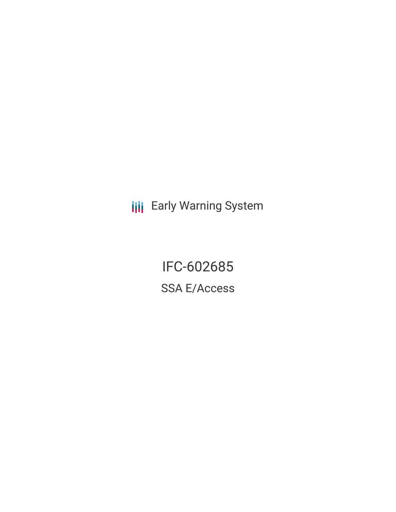**III** Early Warning System

IFC-602685 SSA E/Access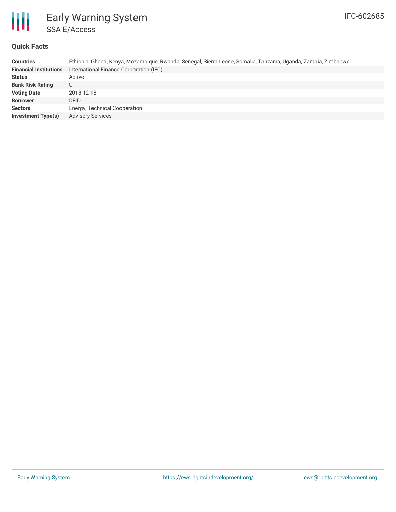

### **Quick Facts**

| <b>Countries</b>              | Ethiopia, Ghana, Kenya, Mozambique, Rwanda, Senegal, Sierra Leone, Somalia, Tanzania, Uganda, Zambia, Zimbabwe |
|-------------------------------|----------------------------------------------------------------------------------------------------------------|
| <b>Financial Institutions</b> | International Finance Corporation (IFC)                                                                        |
| <b>Status</b>                 | Active                                                                                                         |
| <b>Bank Risk Rating</b>       | U                                                                                                              |
| <b>Voting Date</b>            | 2018-12-18                                                                                                     |
| <b>Borrower</b>               | <b>DFID</b>                                                                                                    |
| <b>Sectors</b>                | Energy, Technical Cooperation                                                                                  |
| <b>Investment Type(s)</b>     | <b>Advisory Services</b>                                                                                       |
|                               |                                                                                                                |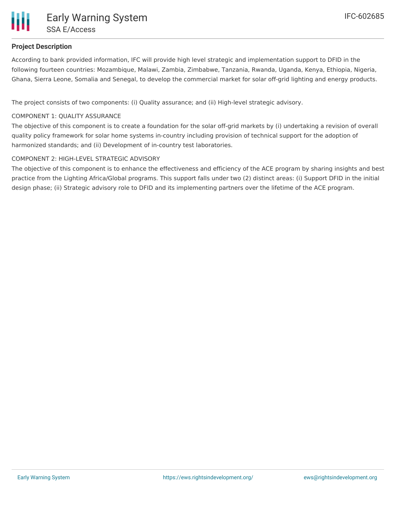## **Project Description**

According to bank provided information, IFC will provide high level strategic and implementation support to DFID in the following fourteen countries: Mozambique, Malawi, Zambia, Zimbabwe, Tanzania, Rwanda, Uganda, Kenya, Ethiopia, Nigeria, Ghana, Sierra Leone, Somalia and Senegal, to develop the commercial market for solar off-grid lighting and energy products.

The project consists of two components: (i) Quality assurance; and (ii) High-level strategic advisory.

#### COMPONENT 1: QUALITY ASSURANCE

The objective of this component is to create a foundation for the solar off-grid markets by (i) undertaking a revision of overall quality policy framework for solar home systems in-country including provision of technical support for the adoption of harmonized standards; and (ii) Development of in-country test laboratories.

#### COMPONENT 2: HIGH-LEVEL STRATEGIC ADVISORY

The objective of this component is to enhance the effectiveness and efficiency of the ACE program by sharing insights and best practice from the Lighting Africa/Global programs. This support falls under two (2) distinct areas: (i) Support DFID in the initial design phase; (ii) Strategic advisory role to DFID and its implementing partners over the lifetime of the ACE program.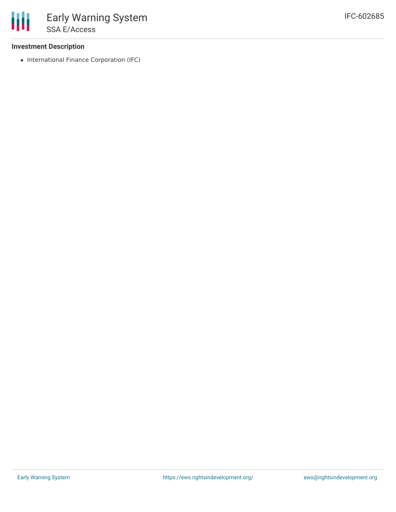#### **Investment Description**

• International Finance Corporation (IFC)